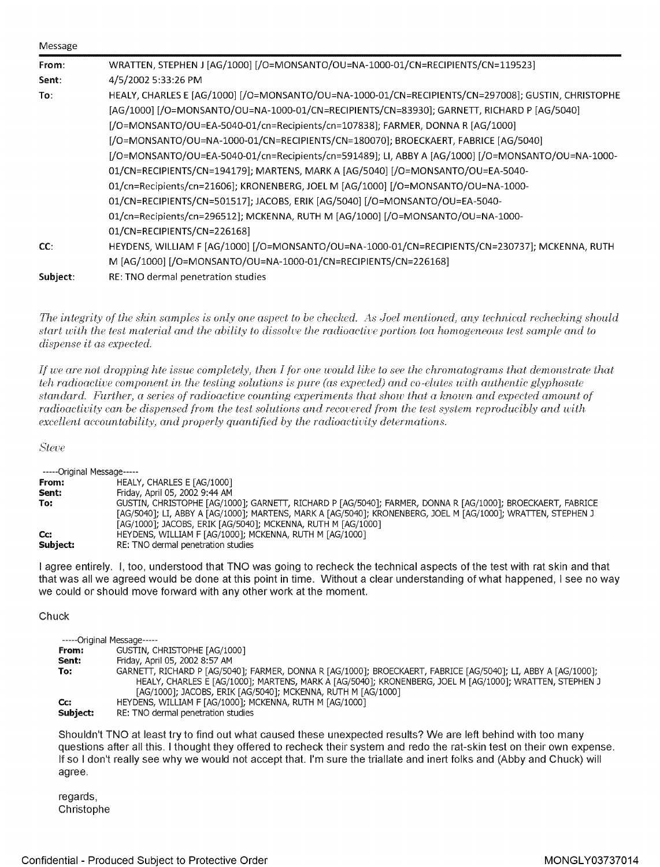| Message  |                                                                                                    |
|----------|----------------------------------------------------------------------------------------------------|
| From:    | WRATTEN, STEPHEN J [AG/1000] [/O=MONSANTO/OU=NA-1000-01/CN=RECIPIENTS/CN=119523]                   |
| Sent:    | 4/5/2002 5:33:26 PM                                                                                |
| To:      | HEALY, CHARLES E [AG/1000] [/O=MONSANTO/OU=NA-1000-01/CN=RECIPIENTS/CN=297008]; GUSTIN, CHRISTOPHE |
|          | [AG/1000] [/O=MONSANTO/OU=NA-1000-01/CN=RECIPIENTS/CN=83930]; GARNETT, RICHARD P [AG/5040]         |
|          | [/O=MONSANTO/OU=EA-5040-01/cn=Recipients/cn=107838]; FARMER, DONNA R [AG/1000]                     |
|          | [/O=MONSANTO/OU=NA-1000-01/CN=RECIPIENTS/CN=180070]; BROECKAERT, FABRICE [AG/5040]                 |
|          | [/O=MONSANTO/OU=EA-5040-01/cn=Recipients/cn=591489]; LI, ABBY A [AG/1000] [/O=MONSANTO/OU=NA-1000- |
|          | 01/CN=RECIPIENTS/CN=194179]; MARTENS, MARK A [AG/5040] [/O=MONSANTO/OU=EA-5040-                    |
|          | 01/cn=Recipients/cn=21606]; KRONENBERG, JOEL M [AG/1000] [/O=MONSANTO/OU=NA-1000-                  |
|          | 01/CN=RECIPIENTS/CN=501517]; JACOBS, ERIK [AG/5040] [/O=MONSANTO/OU=EA-5040-                       |
|          | 01/cn=Recipients/cn=296512]; MCKENNA, RUTH M [AG/1000] [/O=MONSANTO/OU=NA-1000-                    |
|          | 01/CN=RECIPIENTS/CN=226168]                                                                        |
| CC:      | HEYDENS, WILLIAM F [AG/1000] [/O=MONSANTO/OU=NA-1000-01/CN=RECIPIENTS/CN=230737]; MCKENNA, RUTH    |
|          | M [AG/1000] [/O=MONSANTO/OU=NA-1000-01/CN=RECIPIENTS/CN=226168]                                    |
| Subject: | RE: TNO dermal penetration studies                                                                 |

*The integrity of the shin samples is only one aspect to be checked. As Joel mentioned, any technical rechecking should starl wilh the tesl material and lhe ability to dissofre the radioaclfre portion toa homogeneons tesl sample and to dispense it as expected.* 

*If we are not dropping hte issue completely, then I for one would lihe lo see the chromatograms that demonstrate that leh radioactive component in the testing solutions is pure (as expected) and co-efules with aulhenlic glyphosate standard. Further, a series of radioactive counting experiments that show that a known and expected amount of radioactivity can be dispensed from the test solutions and recovered from the test system reproducibly and with excellent accountability, and properly quantified by the radioactivity determations.* 

*Steue* 

# -----Original Message-----

| From:        | HEALY, CHARLES E [AG/1000]                                                                                   |  |
|--------------|--------------------------------------------------------------------------------------------------------------|--|
| <b>Sent:</b> | Friday, April 05, 2002 9:44 AM                                                                               |  |
| To:          | GUSTIN, CHRISTOPHE [AG/1000]; GARNETT, RICHARD P [AG/5040]; FARMER, DONNA R [AG/1000]; BROECKAERT, FABRICE   |  |
|              | [AG/5040]; LI, ABBY A [AG/1000]; MARTENS, MARK A [AG/5040]; KRONENBERG, JOEL M [AG/1000]; WRATTEN, STEPHEN J |  |
|              | [AG/1000]; JACOBS, ERIK [AG/5040]; MCKENNA, RUTH M [AG/1000]                                                 |  |
| Cc:          | HEYDENS, WILLIAM F [AG/1000]; MCKENNA, RUTH M [AG/1000]                                                      |  |
| Subject:     | RE: TNO dermal penetration studies                                                                           |  |
|              |                                                                                                              |  |

I agree entirely. I, too, understood that TNO was going to recheck the technical aspects of the test with rat skin and that that was all we agreed would be done at this point in time. Without a clear understanding of what happened, I see no way we could or should move forward with any other work at the moment.

# Chuck

| -----Original Message----- |                                                                                                               |  |
|----------------------------|---------------------------------------------------------------------------------------------------------------|--|
| From:                      | GUSTIN, CHRISTOPHE [AG/1000]                                                                                  |  |
| Sent:                      | Friday, April 05, 2002 8:57 AM                                                                                |  |
| To:                        | GARNETT, RICHARD P [AG/5040]; FARMER, DONNA R [AG/1000]; BROECKAERT, FABRICE [AG/5040]; LI, ABBY A [AG/1000]; |  |
|                            | HEALY, CHARLES E [AG/1000]; MARTENS, MARK A [AG/5040]; KRONENBERG, JOEL M [AG/1000]; WRATTEN, STEPHEN J       |  |
|                            | [AG/1000]; JACOBS, ERIK [AG/5040]; MCKENNA, RUTH M [AG/1000]                                                  |  |
| Cc:                        | HEYDENS, WILLIAM F [AG/1000]; MCKENNA, RUTH M [AG/1000]                                                       |  |
| Subject:                   | RE: TNO dermal penetration studies                                                                            |  |

Shouldn't TNO at least try to find out what caused these unexpected results? We are left behind with too many questions after all this. I thought they offered to recheck their system and redo the rat-skin test on their own expense. If so I don't really see why we would not accept that. I'm sure the triallate and inert folks and (Abby and Chuck) will agree.

regards, Christophe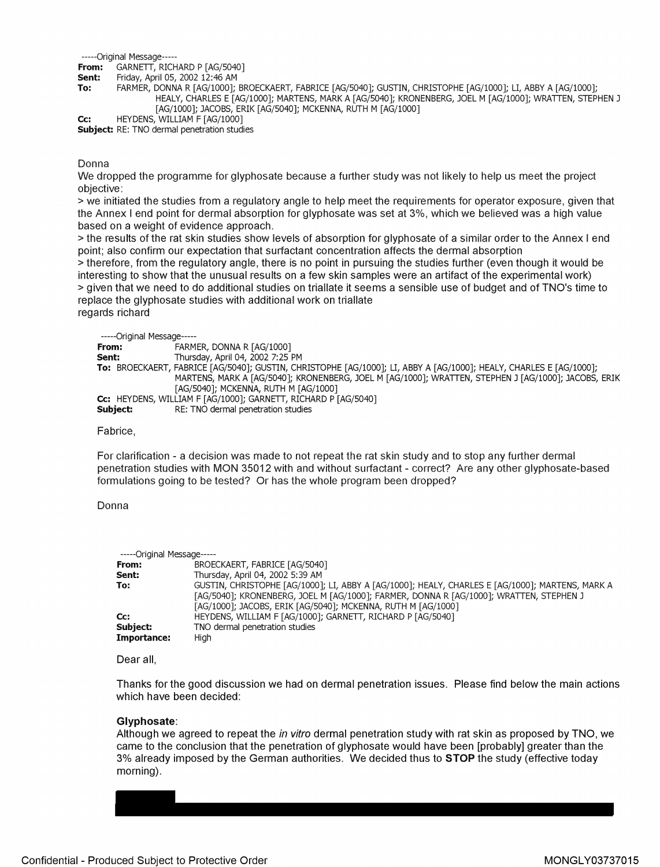#### -----Original Message-----

**From:** GARNETT, RICHARD P [AG/5040]

**Sent:** Friday, April 05, 2002 12:46 AM<br>**To:** FARMER, DONNA R [AG/1000]:

**To:** FARMER, DONNA R [AG/1000]; BROECKAERT, FABRICE [AG/5040]; GUSTIN, CHRISTOPHE [AG/1000]; LI, ABBY A [AG/1000]; HEALY, CHARLES E [AG/1000]; MARTENS, MARK A [AG/5040]; KRONENBERG, JOEL M [AG/1000]; WRATTEN, STEPHEN J [AG/1000]; JACOBS, ERIK [AG/5040]; MCKENNA, RUTH M [AG/1000]

**Cc:** HEYDENS, WILLIAM F [AG/1000]

**Subject:** RE: TNO dermal penetration studies

## Donna

We dropped the programme for glyphosate because a further study was not likely to help us meet the project objective:

> we initiated the studies from a regulatory angle to help meet the requirements for operator exposure, given that the Annex I end point for dermal absorption for glyphosate was set at 3%, which we believed was a high value based on a weight of evidence approach.

> the results of the rat skin studies show levels of absorption for glyphosate of a similar order to the Annex I end point; also confirm our expectation that surfactant concentration affects the dermal absorption

> therefore, from the regulatory angle, there is no point in pursuing the studies further (even though it would be interesting to show that the unusual results on a few skin samples were an artifact of the experimental work) > given that we need to do additional studies on trial late it seems a sensible use of budget and of TNO's time to replace the glyphosate studies with additional work on triallate regards richard

## -----Original Message-----

**From: FARMER, DONNA R [AG/1000]**<br>**Sent: Thursday. Anril 04. 2002 7:25 Sent:** Thursday, April 04, 2002 7:25 PM **To:** BROECKAERT, FABRICE [AG/5040]; GUSTIN, CHRISTOPHE [AG/1000]; LI, ABBY A [AG/1000]; HEALY, CHARLES E [AG/1000]; MARTENS, MARK A [AG/5040]; KRONENBERG, JOEL M [AG/1000]; WRATTEN, STEPHEN J [AG/1000]; JACOBS, ERIK [AG/5040]; MCKENNA, RUTH M [AG/1000] **Cc:** HEYDENS, WILLIAM F [AG/1000]; GARNETT, RICHARD P [AG/5040] **Subject:** RE: TNO dermal penetration studies

### Fabrice,

For clarification - a decision was made to not repeat the rat skin study and to stop any further dermal penetration studies with MON 35012 with and without surfactant - correct? Are any other [glyphosate](https://www.baumhedlundlaw.com/toxic-tort-law/monsanto-roundup-lawsuit/)-based formulations going to be tested? Or has the whole program been dropped?

# Donna

| -----Original Message----- |                                                                                                                                                                                                                                                           |
|----------------------------|-----------------------------------------------------------------------------------------------------------------------------------------------------------------------------------------------------------------------------------------------------------|
| From:                      | BROECKAERT, FABRICE [AG/5040]                                                                                                                                                                                                                             |
| Sent:                      | Thursday, April 04, 2002 5:39 AM                                                                                                                                                                                                                          |
| To:                        | GUSTIN, CHRISTOPHE [AG/1000]; LI, ABBY A [AG/1000]; HEALY, CHARLES E [AG/1000]; MARTENS, MARK A<br>[AG/5040]; KRONENBERG, JOEL M [AG/1000]; FARMER, DONNA R [AG/1000]; WRATTEN, STEPHEN J<br>[AG/1000]; JACOBS, ERIK [AG/5040]; MCKENNA, RUTH M [AG/1000] |
| $Cc$ :                     | HEYDENS, WILLIAM F [AG/1000]; GARNETT, RICHARD P [AG/5040]                                                                                                                                                                                                |
| Subject:                   | TNO dermal penetration studies                                                                                                                                                                                                                            |
| Importance:                | Hiah                                                                                                                                                                                                                                                      |

#### Dear all,

Thanks for the good discussion we had on dermal penetration issues. Please find below the main actions which have been decided:

# **Glyphosate:**

Although we agreed to repeat the *in vitro* dermal penetration study with rat skin as proposed by TNO, we came to the conclusion that the penetration of glyphosate would have been [probably] greater than the 3% already imposed by the German authorities. We decided thus to **STOP** the study (effective today morning).